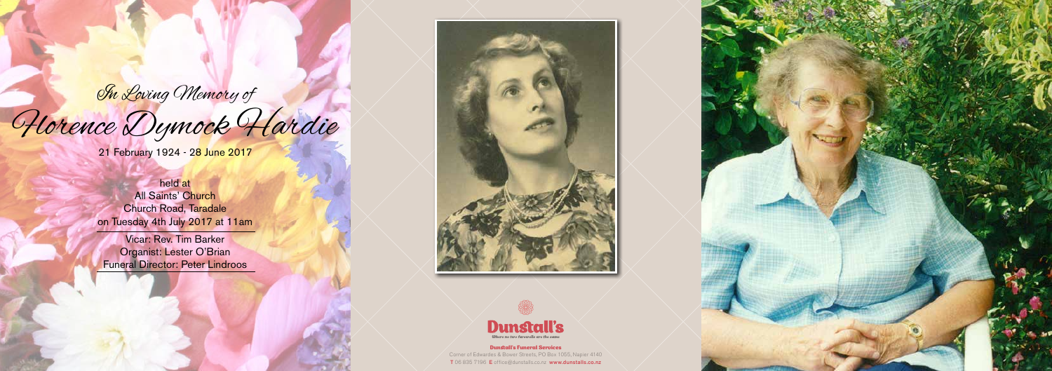<mark>On Loving Memory of</mark>

# Horence Dymock Hardie

21 February 1924 - 28 June 2017

held at All Saints' Church Church Road, Taradale on Tuesday 4th July 2017 at 11am

Vicar: Rev. Tim Barker Organist: Lester O'Brian Funeral Director: Peter Lindroos





Dunstall's Funeral Services Corner of Edwardes & Bower Streets, PO Box 1055, Napier 4140 T 06 835 7196 E office@dunstalls.co.nz www.dunstalls.co.nz